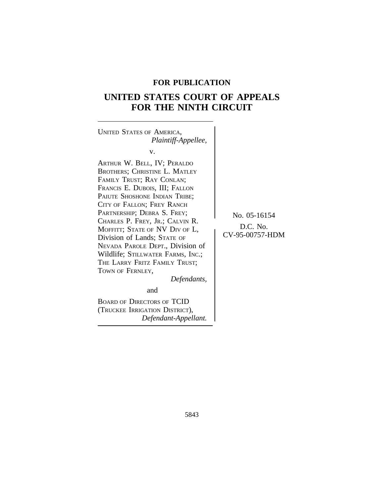# **FOR PUBLICATION**

# **UNITED STATES COURT OF APPEALS FOR THE NINTH CIRCUIT**



BOARD OF DIRECTORS OF TCID (TRUCKEE IRRIGATION DISTRICT), *Defendant-Appellant.*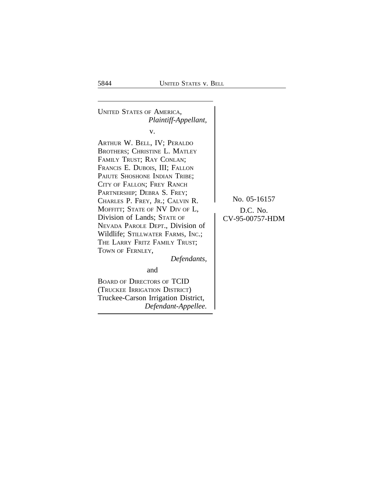<sup>U</sup>NITED STATES OF AMERICA, *Plaintiff-Appellant,* v. ARTHUR W. BELL, IV; PERALDO BROTHERS; CHRISTINE L. MATLEY FAMILY TRUST; RAY CONLAN; FRANCIS E. DUBOIS, III; FALLON PAIUTE SHOSHONE INDIAN TRIBE; CITY OF FALLON; FREY RANCH PARTNERSHIP; DEBRA S. FREY; CHARLES P. FREY, JR.; CALVIN R. No. 05-16157 MOFFITT; STATE OF NV DIV OF L,<br>Division of Lands; State of CV-95-00757-HDM Division of Lands; STATE OF NEVADA PAROLE DEPT., Division of Wildlife; STILLWATER FARMS, INC.; THE LARRY FRITZ FAMILY TRUST; TOWN OF FERNLEY, *Defendants,* and BOARD OF DIRECTORS OF TCID

(TRUCKEE IRRIGATION DISTRICT) Truckee-Carson Irrigation District, *Defendant-Appellee.*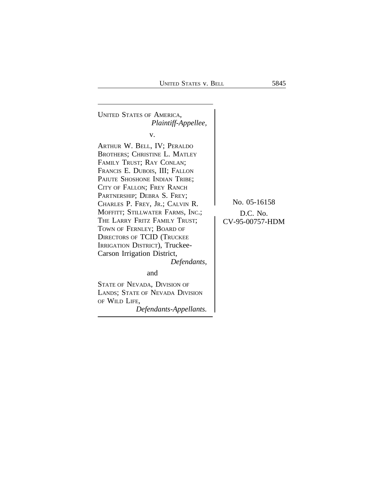<sup>U</sup>NITED STATES OF AMERICA, *Plaintiff-Appellee,* v. ARTHUR W. BELL, IV; PERALDO BROTHERS; CHRISTINE L. MATLEY FAMILY TRUST; RAY CONLAN; FRANCIS E. DUBOIS, III; FALLON PAIUTE SHOSHONE INDIAN TRIBE; CITY OF FALLON; FREY RANCH PARTNERSHIP; DEBRA S. FREY; CHARLES P. FREY, JR.; CALVIN R. No. 05-16158 MOFFITT; STILLWATER FARMS, INC.;<br>THE LARRY FRITZ FAMILY TRUST;<br> $CV-95-00757-HDM$ THE LARRY FRITZ FAMILY TRUST; TOWN OF FERNLEY; BOARD OF DIRECTORS OF TCID (TRUCKEE IRRIGATION DISTRICT), Truckee-Carson Irrigation District, *Defendants,* and STATE OF NEVADA, DIVISION OF LANDS; STATE OF NEVADA DIVISION OF WILD LIFE, *Defendants-Appellants.*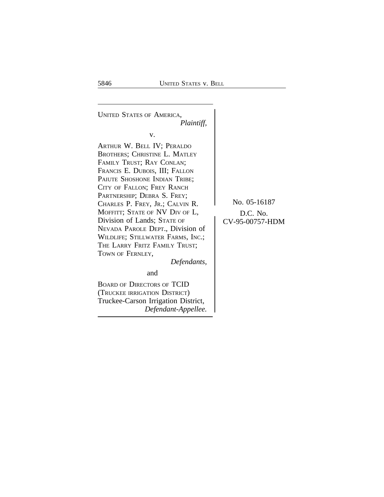<sup>U</sup>NITED STATES OF AMERICA, *Plaintiff,* v. ARTHUR W. BELL IV; PERALDO BROTHERS; CHRISTINE L. MATLEY FAMILY TRUST; RAY CONLAN; FRANCIS E. DUBOIS, III; FALLON PAIUTE SHOSHONE INDIAN TRIBE; CITY OF FALLON; FREY RANCH PARTNERSHIP; DEBRA S. FREY; CHARLES P. FREY, JR.; CALVIN R. No. 05-16187 MOFFITT; STATE OF NV DIV OF L,<br>Division of Lands; State of CV-95-00757-HDM Division of Lands; STATE OF NEVADA PAROLE DEPT., Division of WILDLIFE; STILLWATER FARMS, INC.; THE LARRY FRITZ FAMILY TRUST; TOWN OF FERNLEY, *Defendants,* and

BOARD OF DIRECTORS OF TCID (TRUCKEE IRRIGATION DISTRICT) Truckee-Carson Irrigation District, *Defendant-Appellee.*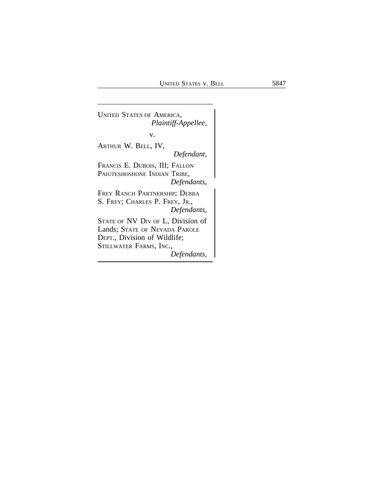<sup>U</sup>NITED STATES OF AMERICA, *Plaintiff-Appellee,* v. ARTHUR W. BELL, IV, *Defendant,* FRANCIS E. DUBOIS, III; FALLON PAIUTESHOSHONE INDIAN TRIBE, *Defendants,* FREY RANCH PARTNERSHIP; DEBRA S. FREY; CHARLES P. FREY, JR., *Defendants,* STATE OF NV DIV OF L, Division of Lands; STATE OF NEVADA PAROLE DEPT., Division of Wildlife; STILLWATER FARMS, INC., *Defendants,*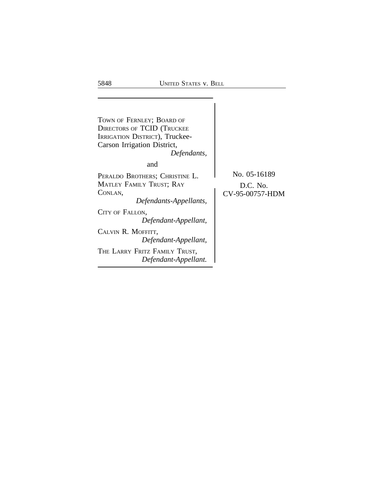$\vert$ TOWN OF FERNLEY; BOARD OF DIRECTORS OF TCID (TRUCKEE IRRIGATION DISTRICT), Truckee-Carson Irrigation District, *Defendants,* and PERALDO BROTHERS; CHRISTINE L. No. 05-16189 MATLEY FAMILY TRUST; RAY D.C. No.<br>CONLAN, CV-95-00757-F CV-95-00757-HDM *Defendants-Appellants,* CITY OF FALLON, *Defendant-Appellant,* CALVIN R. MOFFITT, *Defendant-Appellant,* THE LARRY FRITZ FAMILY TRUST, *Defendant-Appellant.*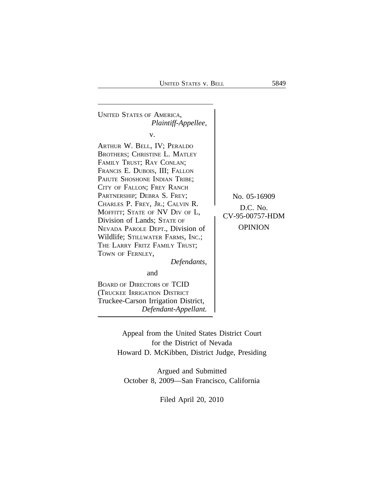<sup>U</sup>NITED STATES OF AMERICA, *Plaintiff-Appellee,* v. ARTHUR W. BELL, IV; PERALDO BROTHERS; CHRISTINE L. MATLEY FAMILY TRUST; RAY CONLAN; FRANCIS E. DUBOIS, III; FALLON PAIUTE SHOSHONE INDIAN TRIBE; CITY OF FALLON; FREY RANCH PARTNERSHIP; DEBRA S. FREY;<br>CHARLES P. FREY, JR.; CALVIN R. CHARLES P. FREY, JR.; CALVIN R.<br>
MOFFITT; STATE OF NV DIV OF L,<br>
Division of Lands; STATE OF CV-95-00757-HDM<br>
NEVADA PAROLE DEPT Division of OPINION NEVADA PAROLE DEPT., Division of Wildlife; STILLWATER FARMS, INC.; THE LARRY FRITZ FAMILY TRUST; TOWN OF FERNLEY, *Defendants,* and

BOARD OF DIRECTORS OF TCID (TRUCKEE IRRIGATION DISTRICT Truckee-Carson Irrigation District, *Defendant-Appellant.*

Appeal from the United States District Court for the District of Nevada

Howard D. McKibben, District Judge, Presiding

Argued and Submitted October 8, 2009—San Francisco, California

Filed April 20, 2010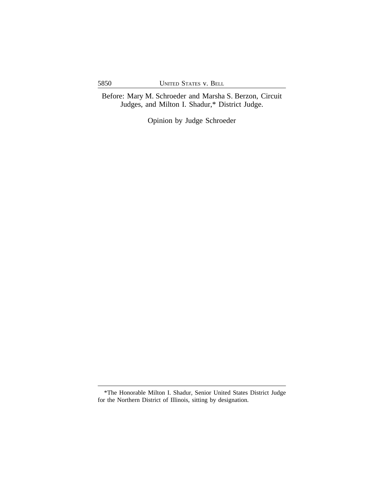Before: Mary M. Schroeder and Marsha S. Berzon, Circuit Judges, and Milton I. Shadur,\* District Judge.

Opinion by Judge Schroeder

<sup>\*</sup>The Honorable Milton I. Shadur, Senior United States District Judge for the Northern District of Illinois, sitting by designation.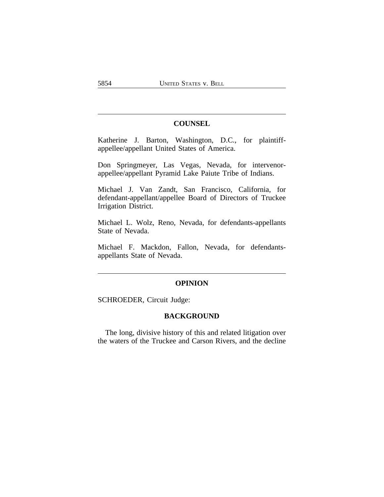### **COUNSEL**

Katherine J. Barton, Washington, D.C., for plaintiffappellee/appellant United States of America.

Don Springmeyer, Las Vegas, Nevada, for intervenorappellee/appellant Pyramid Lake Paiute Tribe of Indians.

Michael J. Van Zandt, San Francisco, California, for defendant-appellant/appellee Board of Directors of Truckee Irrigation District.

Michael L. Wolz, Reno, Nevada, for defendants-appellants State of Nevada.

Michael F. Mackdon, Fallon, Nevada, for defendantsappellants State of Nevada.

### **OPINION**

SCHROEDER, Circuit Judge:

### **BACKGROUND**

The long, divisive history of this and related litigation over the waters of the Truckee and Carson Rivers, and the decline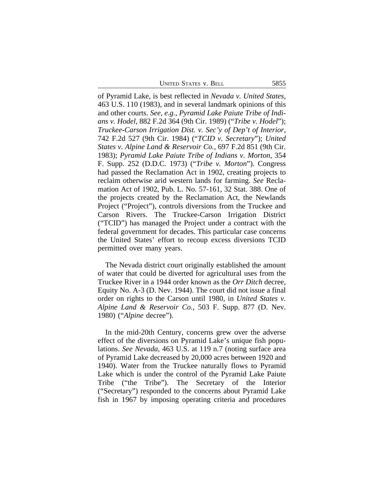UNITED STATES V. BELL 5855

of Pyramid Lake, is best reflected in *Nevada v. United States*, 463 U.S. 110 (1983), and in several landmark opinions of this and other courts. *See, e.g., Pyramid Lake Paiute Tribe of Indians v. Hodel*, 882 F.2d 364 (9th Cir. 1989) ("*Tribe v. Hodel*"); *Truckee-Carson Irrigation Dist. v. Sec'y of Dep't of Interior*, 742 F.2d 527 (9th Cir. 1984) ("*TCID v. Secretary*"); *United States v. Alpine Land & Reservoir Co.*, 697 F.2d 851 (9th Cir. 1983); *Pyramid Lake Paiute Tribe of Indians v. Morton*, 354 F. Supp. 252 (D.D.C. 1973) ("*Tribe v. Morton*"). Congress had passed the Reclamation Act in 1902, creating projects to reclaim otherwise arid western lands for farming. *See* Reclamation Act of 1902, Pub. L. No. 57-161, 32 Stat. 388. One of the projects created by the Reclamation Act, the Newlands Project ("Project"), controls diversions from the Truckee and Carson Rivers. The Truckee-Carson Irrigation District ("TCID") has managed the Project under a contract with the federal government for decades. This particular case concerns the United States' effort to recoup excess diversions TCID permitted over many years.

The Nevada district court originally established the amount of water that could be diverted for agricultural uses from the Truckee River in a 1944 order known as the *Orr Ditch* decree, Equity No. A-3 (D. Nev. 1944). The court did not issue a final order on rights to the Carson until 1980, in *United States v. Alpine Land & Reservoir Co.*, 503 F. Supp. 877 (D. Nev. 1980) ("*Alpine* decree").

In the mid-20th Century, concerns grew over the adverse effect of the diversions on Pyramid Lake's unique fish populations. *See Nevada*, 463 U.S. at 119 n.7 (noting surface area of Pyramid Lake decreased by 20,000 acres between 1920 and 1940). Water from the Truckee naturally flows to Pyramid Lake which is under the control of the Pyramid Lake Paiute Tribe ("the Tribe"). The Secretary of the Interior ("Secretary") responded to the concerns about Pyramid Lake fish in 1967 by imposing operating criteria and procedures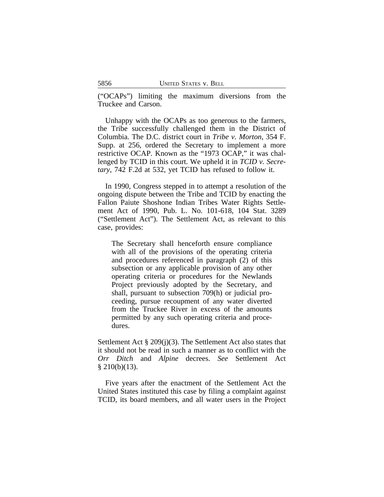("OCAPs") limiting the maximum diversions from the Truckee and Carson.

Unhappy with the OCAPs as too generous to the farmers, the Tribe successfully challenged them in the District of Columbia. The D.C. district court in *Tribe v. Morton*, 354 F. Supp. at 256, ordered the Secretary to implement a more restrictive OCAP. Known as the "1973 OCAP," it was challenged by TCID in this court. We upheld it in *TCID v. Secretary*, 742 F.2d at 532, yet TCID has refused to follow it.

In 1990, Congress stepped in to attempt a resolution of the ongoing dispute between the Tribe and TCID by enacting the Fallon Paiute Shoshone Indian Tribes Water Rights Settlement Act of 1990, Pub. L. No. 101-618, 104 Stat. 3289 ("Settlement Act"). The Settlement Act, as relevant to this case, provides:

The Secretary shall henceforth ensure compliance with all of the provisions of the operating criteria and procedures referenced in paragraph (2) of this subsection or any applicable provision of any other operating criteria or procedures for the Newlands Project previously adopted by the Secretary, and shall, pursuant to subsection 709(h) or judicial proceeding, pursue recoupment of any water diverted from the Truckee River in excess of the amounts permitted by any such operating criteria and procedures.

Settlement Act § 209(j)(3). The Settlement Act also states that it should not be read in such a manner as to conflict with the *Orr Ditch* and *Alpine* decrees. *See* Settlement Act  $§ 210(b)(13).$ 

Five years after the enactment of the Settlement Act the United States instituted this case by filing a complaint against TCID, its board members, and all water users in the Project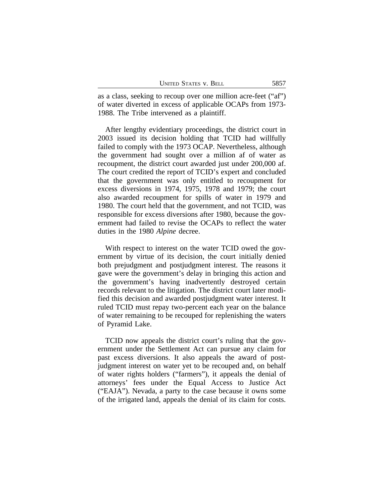as a class, seeking to recoup over one million acre-feet ("af") of water diverted in excess of applicable OCAPs from 1973- 1988. The Tribe intervened as a plaintiff.

After lengthy evidentiary proceedings, the district court in 2003 issued its decision holding that TCID had willfully failed to comply with the 1973 OCAP. Nevertheless, although the government had sought over a million af of water as recoupment, the district court awarded just under 200,000 af. The court credited the report of TCID's expert and concluded that the government was only entitled to recoupment for excess diversions in 1974, 1975, 1978 and 1979; the court also awarded recoupment for spills of water in 1979 and 1980. The court held that the government, and not TCID, was responsible for excess diversions after 1980, because the government had failed to revise the OCAPs to reflect the water duties in the 1980 *Alpine* decree.

With respect to interest on the water TCID owed the government by virtue of its decision, the court initially denied both prejudgment and postjudgment interest. The reasons it gave were the government's delay in bringing this action and the government's having inadvertently destroyed certain records relevant to the litigation. The district court later modified this decision and awarded postjudgment water interest. It ruled TCID must repay two-percent each year on the balance of water remaining to be recouped for replenishing the waters of Pyramid Lake.

TCID now appeals the district court's ruling that the government under the Settlement Act can pursue any claim for past excess diversions. It also appeals the award of postjudgment interest on water yet to be recouped and, on behalf of water rights holders ("farmers"), it appeals the denial of attorneys' fees under the Equal Access to Justice Act ("EAJA"). Nevada, a party to the case because it owns some of the irrigated land, appeals the denial of its claim for costs.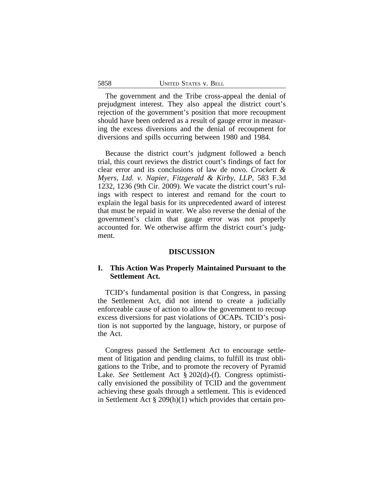The government and the Tribe cross-appeal the denial of prejudgment interest. They also appeal the district court's rejection of the government's position that more recoupment should have been ordered as a result of gauge error in measuring the excess diversions and the denial of recoupment for diversions and spills occurring between 1980 and 1984.

Because the district court's judgment followed a bench trial, this court reviews the district court's findings of fact for clear error and its conclusions of law de novo. *Crockett & Myers, Ltd. v. Napier, Fitzgerald & Kirby, LLP*, 583 F.3d 1232, 1236 (9th Cir. 2009). We vacate the district court's rulings with respect to interest and remand for the court to explain the legal basis for its unprecedented award of interest that must be repaid in water. We also reverse the denial of the government's claim that gauge error was not properly accounted for. We otherwise affirm the district court's judgment.

### **DISCUSSION**

### **I. This Action Was Properly Maintained Pursuant to the Settlement Act.**

TCID's fundamental position is that Congress, in passing the Settlement Act, did not intend to create a judicially enforceable cause of action to allow the government to recoup excess diversions for past violations of OCAPs. TCID's position is not supported by the language, history, or purpose of the Act.

Congress passed the Settlement Act to encourage settlement of litigation and pending claims, to fulfill its trust obligations to the Tribe, and to promote the recovery of Pyramid Lake. *See* Settlement Act § 202(d)-(f). Congress optimistically envisioned the possibility of TCID and the government achieving these goals through a settlement. This is evidenced in Settlement Act § 209(h)(1) which provides that certain pro-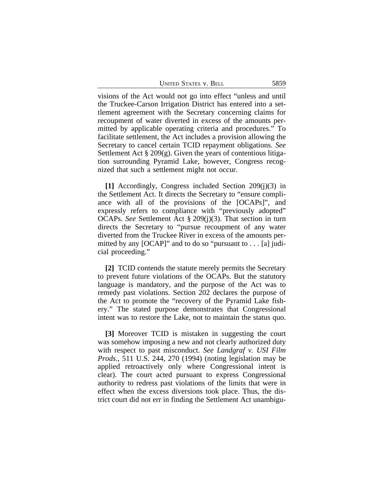UNITED STATES V. BELL 5859

visions of the Act would not go into effect "unless and until the Truckee-Carson Irrigation District has entered into a settlement agreement with the Secretary concerning claims for recoupment of water diverted in excess of the amounts permitted by applicable operating criteria and procedures." To facilitate settlement, the Act includes a provision allowing the Secretary to cancel certain TCID repayment obligations. *See* Settlement Act  $\S 209(g)$ . Given the years of contentious litigation surrounding Pyramid Lake, however, Congress recognized that such a settlement might not occur.

**[1]** Accordingly, Congress included Section 209(j)(3) in the Settlement Act. It directs the Secretary to "ensure compliance with all of the provisions of the [OCAPs]", and expressly refers to compliance with "previously adopted" OCAPs. *See* Settlement Act § 209(j)(3). That section in turn directs the Secretary to "pursue recoupment of any water diverted from the Truckee River in excess of the amounts permitted by any [OCAP]" and to do so "pursuant to . . . [a] judicial proceeding."

**[2]** TCID contends the statute merely permits the Secretary to prevent future violations of the OCAPs. But the statutory language is mandatory, and the purpose of the Act was to remedy past violations. Section 202 declares the purpose of the Act to promote the "recovery of the Pyramid Lake fishery." The stated purpose demonstrates that Congressional intent was to restore the Lake, not to maintain the status quo.

**[3]** Moreover TCID is mistaken in suggesting the court was somehow imposing a new and not clearly authorized duty with respect to past misconduct. *See Landgraf v. USI Film Prods.*, 511 U.S. 244, 270 (1994) (noting legislation may be applied retroactively only where Congressional intent is clear). The court acted pursuant to express Congressional authority to redress past violations of the limits that were in effect when the excess diversions took place. Thus, the district court did not err in finding the Settlement Act unambigu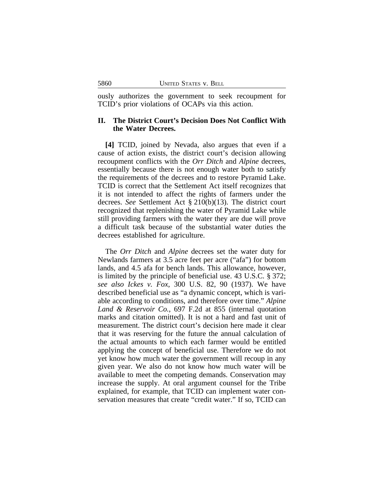ously authorizes the government to seek recoupment for TCID's prior violations of OCAPs via this action.

## **II. The District Court's Decision Does Not Conflict With the Water Decrees.**

**[4]** TCID, joined by Nevada, also argues that even if a cause of action exists, the district court's decision allowing recoupment conflicts with the *Orr Ditch* and *Alpine* decrees, essentially because there is not enough water both to satisfy the requirements of the decrees and to restore Pyramid Lake. TCID is correct that the Settlement Act itself recognizes that it is not intended to affect the rights of farmers under the decrees. *See* Settlement Act § 210(b)(13). The district court recognized that replenishing the water of Pyramid Lake while still providing farmers with the water they are due will prove a difficult task because of the substantial water duties the decrees established for agriculture.

The *Orr Ditch* and *Alpine* decrees set the water duty for Newlands farmers at 3.5 acre feet per acre ("afa") for bottom lands, and 4.5 afa for bench lands. This allowance, however, is limited by the principle of beneficial use. 43 U.S.C. § 372; *see also Ickes v. Fox*, 300 U.S. 82, 90 (1937). We have described beneficial use as "a dynamic concept, which is variable according to conditions, and therefore over time." *Alpine Land & Reservoir Co.*, 697 F.2d at 855 (internal quotation marks and citation omitted). It is not a hard and fast unit of measurement. The district court's decision here made it clear that it was reserving for the future the annual calculation of the actual amounts to which each farmer would be entitled applying the concept of beneficial use. Therefore we do not yet know how much water the government will recoup in any given year. We also do not know how much water will be available to meet the competing demands. Conservation may increase the supply. At oral argument counsel for the Tribe explained, for example, that TCID can implement water conservation measures that create "credit water." If so, TCID can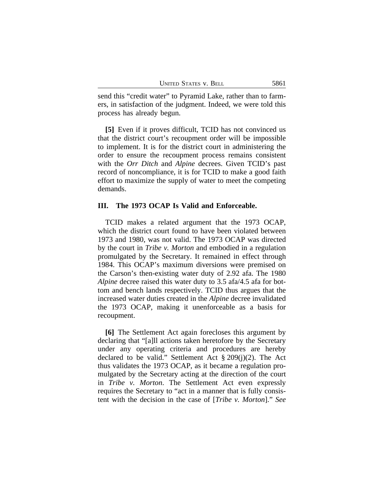| 5861<br>UNITED STATES V. BELL |
|-------------------------------|
|-------------------------------|

send this "credit water" to Pyramid Lake, rather than to farmers, in satisfaction of the judgment. Indeed, we were told this process has already begun.

**[5]** Even if it proves difficult, TCID has not convinced us that the district court's recoupment order will be impossible to implement. It is for the district court in administering the order to ensure the recoupment process remains consistent with the *Orr Ditch* and *Alpine* decrees. Given TCID's past record of noncompliance, it is for TCID to make a good faith effort to maximize the supply of water to meet the competing demands.

#### **III. The 1973 OCAP Is Valid and Enforceable.**

TCID makes a related argument that the 1973 OCAP, which the district court found to have been violated between 1973 and 1980, was not valid. The 1973 OCAP was directed by the court in *Tribe v. Morton* and embodied in a regulation promulgated by the Secretary. It remained in effect through 1984. This OCAP's maximum diversions were premised on the Carson's then-existing water duty of 2.92 afa. The 1980 *Alpine* decree raised this water duty to 3.5 afa/4.5 afa for bottom and bench lands respectively. TCID thus argues that the increased water duties created in the *Alpine* decree invalidated the 1973 OCAP, making it unenforceable as a basis for recoupment.

**[6]** The Settlement Act again forecloses this argument by declaring that "[a]ll actions taken heretofore by the Secretary under any operating criteria and procedures are hereby declared to be valid." Settlement Act § 209(j)(2). The Act thus validates the 1973 OCAP, as it became a regulation promulgated by the Secretary acting at the direction of the court in *Tribe v. Morton*. The Settlement Act even expressly requires the Secretary to "act in a manner that is fully consistent with the decision in the case of [*Tribe v. Morton*]." *See*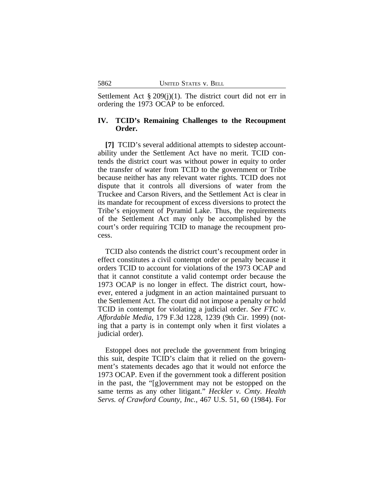Settlement Act  $\S 209(j)(1)$ . The district court did not err in ordering the 1973 OCAP to be enforced.

### **IV. TCID's Remaining Challenges to the Recoupment Order.**

**[7]** TCID's several additional attempts to sidestep accountability under the Settlement Act have no merit. TCID contends the district court was without power in equity to order the transfer of water from TCID to the government or Tribe because neither has any relevant water rights. TCID does not dispute that it controls all diversions of water from the Truckee and Carson Rivers, and the Settlement Act is clear in its mandate for recoupment of excess diversions to protect the Tribe's enjoyment of Pyramid Lake. Thus, the requirements of the Settlement Act may only be accomplished by the court's order requiring TCID to manage the recoupment process.

TCID also contends the district court's recoupment order in effect constitutes a civil contempt order or penalty because it orders TCID to account for violations of the 1973 OCAP and that it cannot constitute a valid contempt order because the 1973 OCAP is no longer in effect. The district court, however, entered a judgment in an action maintained pursuant to the Settlement Act. The court did not impose a penalty or hold TCID in contempt for violating a judicial order. *See FTC v. Affordable Media*, 179 F.3d 1228, 1239 (9th Cir. 1999) (noting that a party is in contempt only when it first violates a judicial order).

Estoppel does not preclude the government from bringing this suit, despite TCID's claim that it relied on the government's statements decades ago that it would not enforce the 1973 OCAP. Even if the government took a different position in the past, the "[g]overnment may not be estopped on the same terms as any other litigant." *Heckler v. Cmty. Health Servs. of Crawford County, Inc.*, 467 U.S. 51, 60 (1984). For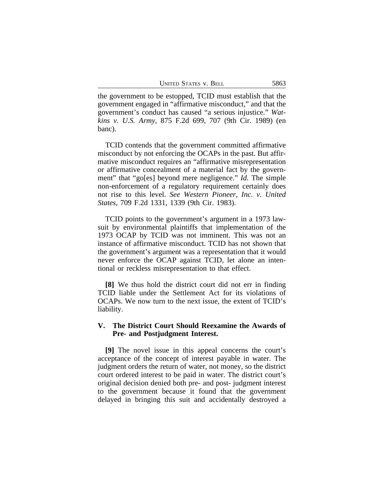the government to be estopped, TCID must establish that the government engaged in "affirmative misconduct," and that the government's conduct has caused "a serious injustice." *Watkins v. U.S. Army*, 875 F.2d 699, 707 (9th Cir. 1989) (en banc).

TCID contends that the government committed affirmative misconduct by not enforcing the OCAPs in the past. But affirmative misconduct requires an "affirmative misrepresentation or affirmative concealment of a material fact by the government" that "go[es] beyond mere negligence." *Id.* The simple non-enforcement of a regulatory requirement certainly does not rise to this level. *See Western Pioneer, Inc. v. United States*, 709 F.2d 1331, 1339 (9th Cir. 1983).

TCID points to the government's argument in a 1973 lawsuit by environmental plaintiffs that implementation of the 1973 OCAP by TCID was not imminent. This was not an instance of affirmative misconduct. TCID has not shown that the government's argument was a representation that it would never enforce the OCAP against TCID, let alone an intentional or reckless misrepresentation to that effect.

**[8]** We thus hold the district court did not err in finding TCID liable under the Settlement Act for its violations of OCAPs. We now turn to the next issue, the extent of TCID's liability.

### **V. The District Court Should Reexamine the Awards of Pre- and Postjudgment Interest.**

**[9]** The novel issue in this appeal concerns the court's acceptance of the concept of interest payable in water. The judgment orders the return of water, not money, so the district court ordered interest to be paid in water. The district court's original decision denied both pre- and post- judgment interest to the government because it found that the government delayed in bringing this suit and accidentally destroyed a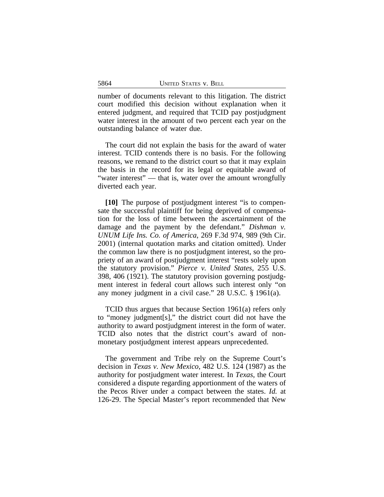number of documents relevant to this litigation. The district court modified this decision without explanation when it entered judgment, and required that TCID pay postjudgment water interest in the amount of two percent each year on the outstanding balance of water due.

The court did not explain the basis for the award of water interest. TCID contends there is no basis. For the following reasons, we remand to the district court so that it may explain the basis in the record for its legal or equitable award of "water interest" — that is, water over the amount wrongfully diverted each year.

**[10]** The purpose of postjudgment interest "is to compensate the successful plaintiff for being deprived of compensation for the loss of time between the ascertainment of the damage and the payment by the defendant." *Dishman v. UNUM Life Ins. Co. of America*, 269 F.3d 974, 989 (9th Cir. 2001) (internal quotation marks and citation omitted). Under the common law there is no postjudgment interest, so the propriety of an award of postjudgment interest "rests solely upon the statutory provision." *Pierce v. United States*, 255 U.S. 398, 406 (1921). The statutory provision governing postjudgment interest in federal court allows such interest only "on any money judgment in a civil case." 28 U.S.C. § 1961(a).

TCID thus argues that because Section 1961(a) refers only to "money judgment[s]," the district court did not have the authority to award postjudgment interest in the form of water. TCID also notes that the district court's award of nonmonetary postjudgment interest appears unprecedented.

The government and Tribe rely on the Supreme Court's decision in *Texas v. New Mexico*, 482 U.S. 124 (1987) as the authority for postjudgment water interest. In *Texas*, the Court considered a dispute regarding apportionment of the waters of the Pecos River under a compact between the states. *Id.* at 126-29. The Special Master's report recommended that New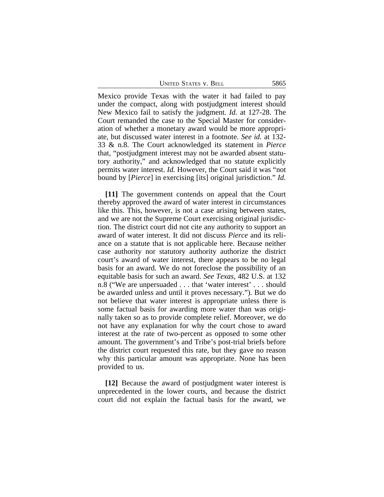UNITED STATES V. BELL 5865

Mexico provide Texas with the water it had failed to pay under the compact, along with postjudgment interest should New Mexico fail to satisfy the judgment. *Id.* at 127-28. The Court remanded the case to the Special Master for consideration of whether a monetary award would be more appropriate, but discussed water interest in a footnote. *See id.* at 132- 33 & n.8. The Court acknowledged its statement in *Pierce* that, "postjudgment interest may not be awarded absent statutory authority," and acknowledged that no statute explicitly permits water interest. *Id.* However, the Court said it was "not bound by [*Pierce*] in exercising [its] original jurisdiction." *Id.*

**[11]** The government contends on appeal that the Court thereby approved the award of water interest in circumstances like this. This, however, is not a case arising between states, and we are not the Supreme Court exercising original jurisdiction. The district court did not cite any authority to support an award of water interest. It did not discuss *Pierce* and its reliance on a statute that is not applicable here. Because neither case authority nor statutory authority authorize the district court's award of water interest, there appears to be no legal basis for an award. We do not foreclose the possibility of an equitable basis for such an award. *See Texas*, 482 U.S. at 132 n.8 ("We are unpersuaded . . . that 'water interest' . . . should be awarded unless and until it proves necessary."). But we do not believe that water interest is appropriate unless there is some factual basis for awarding more water than was originally taken so as to provide complete relief. Moreover, we do not have any explanation for why the court chose to award interest at the rate of two-percent as opposed to some other amount. The government's and Tribe's post-trial briefs before the district court requested this rate, but they gave no reason why this particular amount was appropriate. None has been provided to us.

**[12]** Because the award of postjudgment water interest is unprecedented in the lower courts, and because the district court did not explain the factual basis for the award, we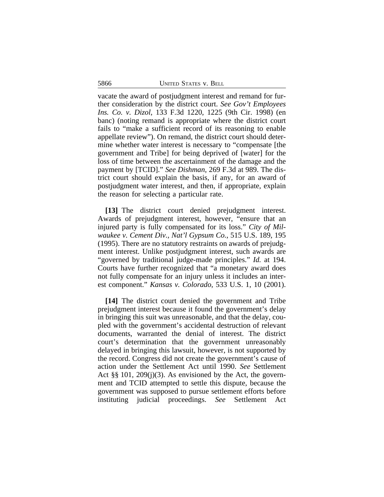5866 UNITED STATES v. BELL

vacate the award of postjudgment interest and remand for further consideration by the district court. *See Gov't Employees Ins. Co. v. Dizol*, 133 F.3d 1220, 1225 (9th Cir. 1998) (en banc) (noting remand is appropriate where the district court fails to "make a sufficient record of its reasoning to enable appellate review"). On remand, the district court should determine whether water interest is necessary to "compensate [the government and Tribe] for being deprived of [water] for the loss of time between the ascertainment of the damage and the payment by [TCID]." *See Dishman*, 269 F.3d at 989. The district court should explain the basis, if any, for an award of postjudgment water interest, and then, if appropriate, explain the reason for selecting a particular rate.

**[13]** The district court denied prejudgment interest. Awards of prejudgment interest, however, "ensure that an injured party is fully compensated for its loss." *City of Milwaukee v. Cement Div., Nat'l Gypsum Co.*, 515 U.S. 189, 195 (1995). There are no statutory restraints on awards of prejudgment interest. Unlike postjudgment interest, such awards are "governed by traditional judge-made principles." *Id.* at 194. Courts have further recognized that "a monetary award does not fully compensate for an injury unless it includes an interest component." *Kansas v. Colorado*, 533 U.S. 1, 10 (2001).

**[14]** The district court denied the government and Tribe prejudgment interest because it found the government's delay in bringing this suit was unreasonable, and that the delay, coupled with the government's accidental destruction of relevant documents, warranted the denial of interest. The district court's determination that the government unreasonably delayed in bringing this lawsuit, however, is not supported by the record. Congress did not create the government's cause of action under the Settlement Act until 1990. *See* Settlement Act §§ 101, 209(j)(3). As envisioned by the Act, the government and TCID attempted to settle this dispute, because the government was supposed to pursue settlement efforts before instituting judicial proceedings. *See* Settlement Act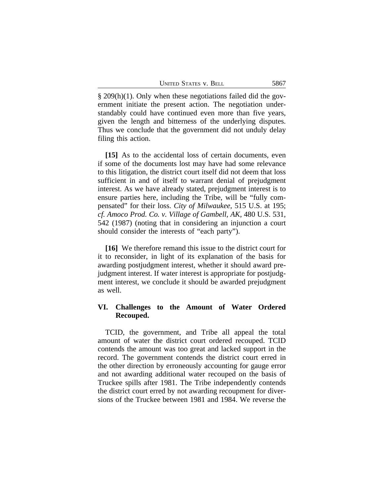§ 209(h)(1). Only when these negotiations failed did the government initiate the present action. The negotiation understandably could have continued even more than five years, given the length and bitterness of the underlying disputes. Thus we conclude that the government did not unduly delay filing this action.

**[15]** As to the accidental loss of certain documents, even if some of the documents lost may have had some relevance to this litigation, the district court itself did not deem that loss sufficient in and of itself to warrant denial of prejudgment interest. As we have already stated, prejudgment interest is to ensure parties here, including the Tribe, will be "fully compensated" for their loss. *City of Milwaukee*, 515 U.S. at 195; *cf. Amoco Prod. Co. v. Village of Gambell, AK*, 480 U.S. 531, 542 (1987) (noting that in considering an injunction a court should consider the interests of "each party").

**[16]** We therefore remand this issue to the district court for it to reconsider, in light of its explanation of the basis for awarding postjudgment interest, whether it should award prejudgment interest. If water interest is appropriate for postjudgment interest, we conclude it should be awarded prejudgment as well.

### **VI. Challenges to the Amount of Water Ordered Recouped.**

TCID, the government, and Tribe all appeal the total amount of water the district court ordered recouped. TCID contends the amount was too great and lacked support in the record. The government contends the district court erred in the other direction by erroneously accounting for gauge error and not awarding additional water recouped on the basis of Truckee spills after 1981. The Tribe independently contends the district court erred by not awarding recoupment for diversions of the Truckee between 1981 and 1984. We reverse the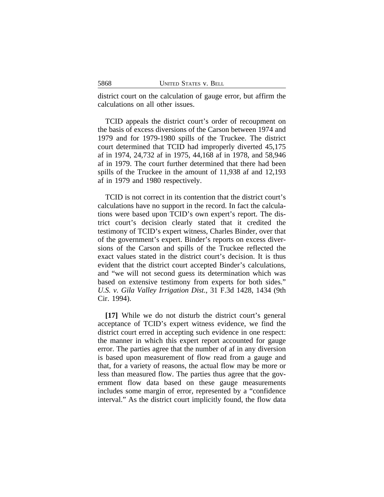district court on the calculation of gauge error, but affirm the calculations on all other issues.

TCID appeals the district court's order of recoupment on the basis of excess diversions of the Carson between 1974 and 1979 and for 1979-1980 spills of the Truckee. The district court determined that TCID had improperly diverted 45,175 af in 1974, 24,732 af in 1975, 44,168 af in 1978, and 58,946 af in 1979. The court further determined that there had been spills of the Truckee in the amount of 11,938 af and 12,193 af in 1979 and 1980 respectively.

TCID is not correct in its contention that the district court's calculations have no support in the record. In fact the calculations were based upon TCID's own expert's report. The district court's decision clearly stated that it credited the testimony of TCID's expert witness, Charles Binder, over that of the government's expert. Binder's reports on excess diversions of the Carson and spills of the Truckee reflected the exact values stated in the district court's decision. It is thus evident that the district court accepted Binder's calculations, and "we will not second guess its determination which was based on extensive testimony from experts for both sides." *U.S. v. Gila Valley Irrigation Dist.*, 31 F.3d 1428, 1434 (9th Cir. 1994).

**[17]** While we do not disturb the district court's general acceptance of TCID's expert witness evidence, we find the district court erred in accepting such evidence in one respect: the manner in which this expert report accounted for gauge error. The parties agree that the number of af in any diversion is based upon measurement of flow read from a gauge and that, for a variety of reasons, the actual flow may be more or less than measured flow. The parties thus agree that the government flow data based on these gauge measurements includes some margin of error, represented by a "confidence interval." As the district court implicitly found, the flow data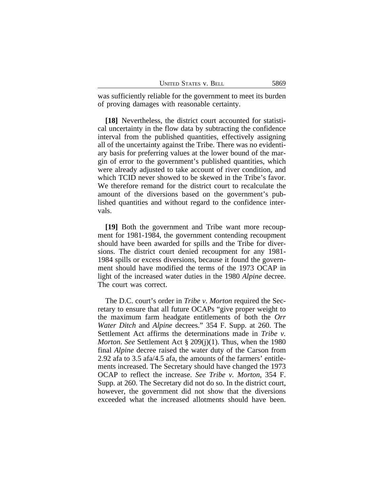| 5869<br>UNITED STATES V. BELL |
|-------------------------------|
|-------------------------------|

was sufficiently reliable for the government to meet its burden of proving damages with reasonable certainty.

**[18]** Nevertheless, the district court accounted for statistical uncertainty in the flow data by subtracting the confidence interval from the published quantities, effectively assigning all of the uncertainty against the Tribe. There was no evidentiary basis for preferring values at the lower bound of the margin of error to the government's published quantities, which were already adjusted to take account of river condition, and which TCID never showed to be skewed in the Tribe's favor. We therefore remand for the district court to recalculate the amount of the diversions based on the government's published quantities and without regard to the confidence intervals.

**[19]** Both the government and Tribe want more recoupment for 1981-1984, the government contending recoupment should have been awarded for spills and the Tribe for diversions. The district court denied recoupment for any 1981- 1984 spills or excess diversions, because it found the government should have modified the terms of the 1973 OCAP in light of the increased water duties in the 1980 *Alpine* decree. The court was correct.

The D.C. court's order in *Tribe v. Morton* required the Secretary to ensure that all future OCAPs "give proper weight to the maximum farm headgate entitlements of both the *Orr Water Ditch* and *Alpine* decrees." 354 F. Supp. at 260. The Settlement Act affirms the determinations made in *Tribe v. Morton*. *See* Settlement Act § 209(j)(1). Thus, when the 1980 final *Alpine* decree raised the water duty of the Carson from 2.92 afa to 3.5 afa/4.5 afa, the amounts of the farmers' entitlements increased. The Secretary should have changed the 1973 OCAP to reflect the increase. *See Tribe v. Morton*, 354 F. Supp. at 260. The Secretary did not do so. In the district court, however, the government did not show that the diversions exceeded what the increased allotments should have been.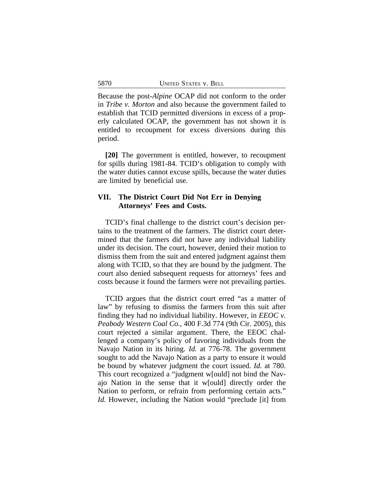Because the post-*Alpine* OCAP did not conform to the order in *Tribe v. Morton* and also because the government failed to establish that TCID permitted diversions in excess of a properly calculated OCAP, the government has not shown it is entitled to recoupment for excess diversions during this period.

**[20]** The government is entitled, however, to recoupment for spills during 1981-84. TCID's obligation to comply with the water duties cannot excuse spills, because the water duties are limited by beneficial use.

### **VII. The District Court Did Not Err in Denying Attorneys' Fees and Costs.**

TCID's final challenge to the district court's decision pertains to the treatment of the farmers. The district court determined that the farmers did not have any individual liability under its decision. The court, however, denied their motion to dismiss them from the suit and entered judgment against them along with TCID, so that they are bound by the judgment. The court also denied subsequent requests for attorneys' fees and costs because it found the farmers were not prevailing parties.

TCID argues that the district court erred "as a matter of law" by refusing to dismiss the farmers from this suit after finding they had no individual liability. However, in *EEOC v. Peabody Western Coal Co.*, 400 F.3d 774 (9th Cir. 2005), this court rejected a similar argument. There, the EEOC challenged a company's policy of favoring individuals from the Navajo Nation in its hiring. *Id.* at 776-78. The government sought to add the Navajo Nation as a party to ensure it would be bound by whatever judgment the court issued. *Id.* at 780. This court recognized a "judgment w[ould] not bind the Navajo Nation in the sense that it w[ould] directly order the Nation to perform, or refrain from performing certain acts." *Id.* However, including the Nation would "preclude [it] from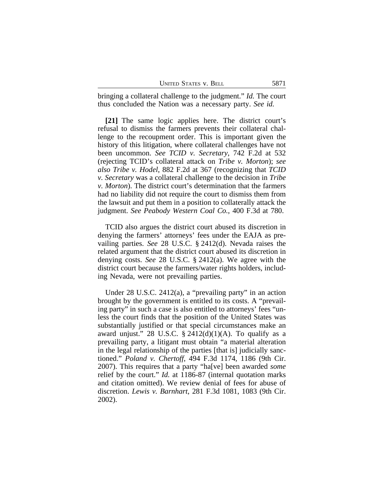| UNITED STATES V. BELL<br>5871 |  |
|-------------------------------|--|
|-------------------------------|--|

bringing a collateral challenge to the judgment." *Id.* The court thus concluded the Nation was a necessary party. *See id.*

**[21]** The same logic applies here. The district court's refusal to dismiss the farmers prevents their collateral challenge to the recoupment order. This is important given the history of this litigation, where collateral challenges have not been uncommon. *See TCID v. Secretary*, 742 F.2d at 532 (rejecting TCID's collateral attack on *Tribe v. Morton*); *see also Tribe v. Hodel*, 882 F.2d at 367 (recognizing that *TCID v. Secretary* was a collateral challenge to the decision in *Tribe v. Morton*). The district court's determination that the farmers had no liability did not require the court to dismiss them from the lawsuit and put them in a position to collaterally attack the judgment. *See Peabody Western Coal Co.*, 400 F.3d at 780.

TCID also argues the district court abused its discretion in denying the farmers' attorneys' fees under the EAJA as prevailing parties. *See* 28 U.S.C. § 2412(d). Nevada raises the related argument that the district court abused its discretion in denying costs. *See* 28 U.S.C. § 2412(a). We agree with the district court because the farmers/water rights holders, including Nevada, were not prevailing parties.

Under 28 U.S.C. 2412(a), a "prevailing party" in an action brought by the government is entitled to its costs. A "prevailing party" in such a case is also entitled to attorneys' fees "unless the court finds that the position of the United States was substantially justified or that special circumstances make an award unjust." 28 U.S.C.  $\S$  2412(d)(1)(A). To qualify as a prevailing party, a litigant must obtain "a material alteration in the legal relationship of the parties [that is] judicially sanctioned." *Poland v. Chertoff*, 494 F.3d 1174, 1186 (9th Cir. 2007). This requires that a party "ha[ve] been awarded *some* relief by the court." *Id.* at 1186-87 (internal quotation marks and citation omitted). We review denial of fees for abuse of discretion. *Lewis v. Barnhart*, 281 F.3d 1081, 1083 (9th Cir. 2002).